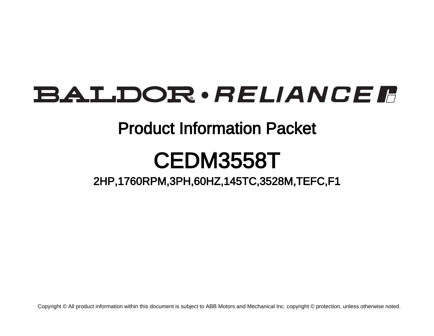# BALDOR · RELIANCE F

## Product Information Packet

# CEDM3558T

2HP,1760RPM,3PH,60HZ,145TC,3528M,TEFC,F1

Copyright © All product information within this document is subject to ABB Motors and Mechanical Inc. copyright © protection, unless otherwise noted.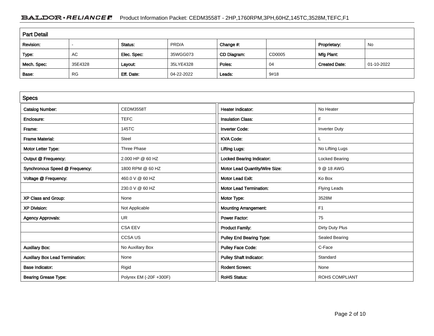### BALDOR · RELIANCE F Product Information Packet: CEDM3558T - 2HP,1760RPM,3PH,60HZ,145TC,3528M,TEFC,F1

| <b>Part Detail</b> |           |             |            |             |        |                      |            |  |  |
|--------------------|-----------|-------------|------------|-------------|--------|----------------------|------------|--|--|
| Revision:          |           | Status:     | PRD/A      | Change #:   |        | Proprietary:         | No         |  |  |
| Type:              | AC        | Elec. Spec: | 35WGG073   | CD Diagram: | CD0005 | Mfg Plant:           |            |  |  |
| Mech. Spec:        | 35E4328   | Layout:     | 35LYE4328  | Poles:      | 04     | <b>Created Date:</b> | 01-10-2022 |  |  |
| Base:              | <b>RG</b> | Eff. Date:  | 04-22-2022 | Leads:      | 9#18   |                      |            |  |  |

| <b>Specs</b>                           |                         |                                 |                       |
|----------------------------------------|-------------------------|---------------------------------|-----------------------|
| <b>Catalog Number:</b>                 | <b>CEDM3558T</b>        | <b>Heater Indicator:</b>        | No Heater             |
| Enclosure:                             | <b>TEFC</b>             | <b>Insulation Class:</b>        | F                     |
| Frame:                                 | 145TC                   | <b>Inverter Code:</b>           | <b>Inverter Duty</b>  |
| <b>Frame Material:</b>                 | Steel                   | <b>KVA Code:</b>                |                       |
| Motor Letter Type:                     | Three Phase             | <b>Lifting Lugs:</b>            | No Lifting Lugs       |
| Output @ Frequency:                    | 2.000 HP @ 60 HZ        | Locked Bearing Indicator:       | Locked Bearing        |
| Synchronous Speed @ Frequency:         | 1800 RPM @ 60 HZ        | Motor Lead Quantity/Wire Size:  | 9 @ 18 AWG            |
| Voltage @ Frequency:                   | 460.0 V @ 60 HZ         | <b>Motor Lead Exit:</b>         | Ko Box                |
|                                        | 230.0 V @ 60 HZ         | <b>Motor Lead Termination:</b>  | Flying Leads          |
| XP Class and Group:                    | None                    | Motor Type:                     | 3528M                 |
| <b>XP Division:</b>                    | Not Applicable          | <b>Mounting Arrangement:</b>    | F <sub>1</sub>        |
| <b>Agency Approvals:</b>               | <b>UR</b>               | <b>Power Factor:</b>            | 75                    |
|                                        | <b>CSA EEV</b>          | <b>Product Family:</b>          | Dirty Duty Plus       |
|                                        | <b>CCSAUS</b>           | <b>Pulley End Bearing Type:</b> | Sealed Bearing        |
| <b>Auxillary Box:</b>                  | No Auxillary Box        | <b>Pulley Face Code:</b>        | C-Face                |
| <b>Auxillary Box Lead Termination:</b> | None                    | <b>Pulley Shaft Indicator:</b>  | Standard              |
| <b>Base Indicator:</b>                 | Rigid                   | <b>Rodent Screen:</b>           | None                  |
| <b>Bearing Grease Type:</b>            | Polyrex EM (-20F +300F) | <b>RoHS Status:</b>             | <b>ROHS COMPLIANT</b> |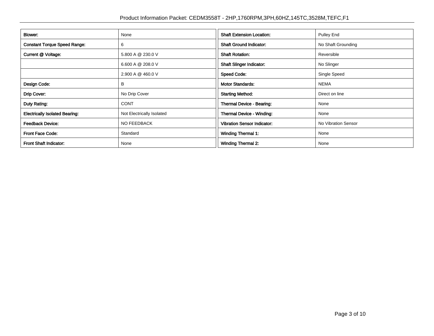| Blower:                               | None                      | <b>Shaft Extension Location:</b>   | Pulley End          |
|---------------------------------------|---------------------------|------------------------------------|---------------------|
| <b>Constant Torque Speed Range:</b>   | 6                         | <b>Shaft Ground Indicator:</b>     | No Shaft Grounding  |
| Current @ Voltage:                    | 5.800 A @ 230.0 V         | <b>Shaft Rotation:</b>             | Reversible          |
|                                       | 6.600 A @ 208.0 V         | <b>Shaft Slinger Indicator:</b>    | No Slinger          |
|                                       | 2.900 A @ 460.0 V         | <b>Speed Code:</b>                 | Single Speed        |
| Design Code:                          | в                         | <b>Motor Standards:</b>            | <b>NEMA</b>         |
| Drip Cover:                           | No Drip Cover             | <b>Starting Method:</b>            | Direct on line      |
| Duty Rating:                          | <b>CONT</b>               | Thermal Device - Bearing:          | None                |
| <b>Electrically Isolated Bearing:</b> | Not Electrically Isolated | <b>Thermal Device - Winding:</b>   | None                |
| <b>Feedback Device:</b>               | <b>NO FEEDBACK</b>        | <b>Vibration Sensor Indicator:</b> | No Vibration Sensor |
| <b>Front Face Code:</b>               | Standard                  | <b>Winding Thermal 1:</b>          | None                |
| Front Shaft Indicator:                | None                      | <b>Winding Thermal 2:</b>          | None                |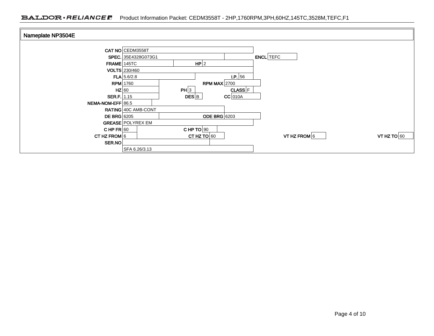| Nameplate NP3504E  |                          |               |                     |                  |                |               |
|--------------------|--------------------------|---------------|---------------------|------------------|----------------|---------------|
|                    |                          |               |                     |                  |                |               |
|                    | CAT NO CEDM3558T         |               |                     |                  |                |               |
|                    | SPEC. 35E4328G073G1      |               |                     | <b>ENCL</b> TEFC |                |               |
|                    | FRAME 145TC              | HP 2          |                     |                  |                |               |
|                    | VOLTS 230/460            |               |                     |                  |                |               |
|                    | $FLA$ 5.6/2.8            |               | I.P.56              |                  |                |               |
|                    | <b>RPM</b> 1760          |               | RPM MAX $2700$      |                  |                |               |
|                    | $HZ$ 60                  | PH 3          | $CLASS$ $F$         |                  |                |               |
| SER.F. 1.15        |                          | DES B         | $CC$ 010A           |                  |                |               |
| NEMA-NOM-EFF 86.5  |                          |               |                     |                  |                |               |
|                    | RATING 40C AMB-CONT      |               |                     |                  |                |               |
| <b>DE BRG</b> 6205 |                          |               | <b>ODE BRG</b> 6203 |                  |                |               |
|                    | <b>GREASE POLYREX EM</b> |               |                     |                  |                |               |
| CHP $FR$ 60        |                          | $CHPTO$ 90    |                     |                  |                |               |
| CT HZ FROM 6       |                          | CT HZ TO $60$ |                     |                  | VT HZ FROM $6$ | VT HZ TO $60$ |
| SER.NO             |                          |               |                     |                  |                |               |
|                    | SFA 6.26/3.13            |               |                     |                  |                |               |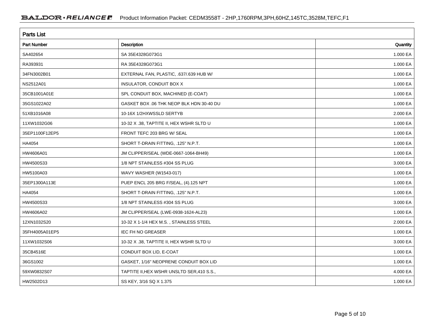| <b>Parts List</b>  |                                            |          |
|--------------------|--------------------------------------------|----------|
| <b>Part Number</b> | Description                                | Quantity |
| SA402654           | SA 35E4328G073G1                           | 1.000 EA |
| RA393931           | RA 35E4328G073G1                           | 1.000 EA |
| 34FN3002B01        | EXTERNAL FAN, PLASTIC, .637/.639 HUB W/    | 1.000 EA |
| NS2512A01          | INSULATOR, CONDUIT BOX X                   | 1.000 EA |
| 35CB1001A01E       | SPL CONDUIT BOX, MACHINED (E-COAT)         | 1.000 EA |
| 35GS1022A02        | GASKET BOX .06 THK NEOP BLK HDN 30-40 DU   | 1.000 EA |
| 51XB1016A08        | 10-16X 1/2HXWSSLD SERTYB                   | 2.000 EA |
| 11XW1032G06        | 10-32 X .38, TAPTITE II, HEX WSHR SLTD U   | 1.000 EA |
| 35EP1100F12EP5     | FRONT TEFC 203 BRG W/ SEAL                 | 1.000 EA |
| HA4054             | SHORT T-DRAIN FITTING, .125" N.P.T.        | 1.000 EA |
| HW4606A01          | JM CLIPPER/SEAL (WDE-0667-1064-BH49)       | 1.000 EA |
| HW4500S33          | 1/8 NPT STAINLESS #304 SS PLUG             | 3.000 EA |
| HW5100A03          | WAVY WASHER (W1543-017)                    | 1.000 EA |
| 35EP1300A113E      | PUEP ENCL 205 BRG F/SEAL, (4).125 NPT      | 1.000 EA |
| HA4054             | SHORT T-DRAIN FITTING, .125" N.P.T.        | 1.000 EA |
| HW4500S33          | 1/8 NPT STAINLESS #304 SS PLUG             | 3.000 EA |
| HW4606A02          | JM CLIPPER/SEAL (LWE-0938-1624-AL23)       | 1.000 EA |
| 12XN1032S20        | 10-32 X 1-1/4 HEX M.S., STAINLESS STEEL    | 2.000 EA |
| 35FH4005A01EP5     | <b>IEC FH NO GREASER</b>                   | 1.000 EA |
| 11XW1032S06        | 10-32 X .38, TAPTITE II, HEX WSHR SLTD U   | 3.000 EA |
| 35CB4516E          | CONDUIT BOX LID, E-COAT                    | 1.000 EA |
| 36GS1002           | GASKET, 1/16" NEOPRENE CONDUIT BOX LID     | 1.000 EA |
| 59XW0832S07        | TAPTITE II, HEX WSHR UNSLTD SER, 410 S.S., | 4.000 EA |
| HW2502D13          | SS KEY, 3/16 SQ X 1.375                    | 1.000 EA |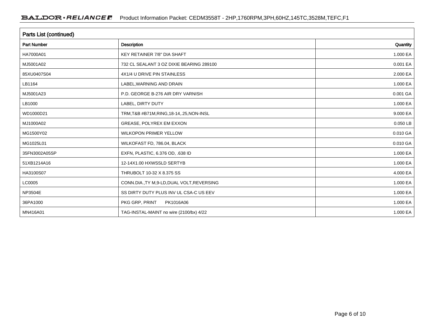| Parts List (continued) |                                             |              |  |  |  |  |
|------------------------|---------------------------------------------|--------------|--|--|--|--|
| <b>Part Number</b>     | <b>Description</b>                          | Quantity     |  |  |  |  |
| HA7000A01              | KEY RETAINER 7/8" DIA SHAFT                 | 1.000 EA     |  |  |  |  |
| MJ5001A02              | 732 CL SEALANT 3 OZ DIXIE BEARING 289100    | 0.001 EA     |  |  |  |  |
| 85XU0407S04            | 4X1/4 U DRIVE PIN STAINLESS                 | 2.000 EA     |  |  |  |  |
| LB1164                 | LABEL, WARNING AND DRAIN                    | 1.000 EA     |  |  |  |  |
| MJ5001A23              | P.D. GEORGE B-276 AIR DRY VARNISH           | 0.001 GA     |  |  |  |  |
| LB1000                 | LABEL, DIRTY DUTY                           | 1.000 EA     |  |  |  |  |
| WD1000D21              | TRM, T&B #B71M, RING, 18-14, .25, NON-INSL  | 9.000 EA     |  |  |  |  |
| MJ1000A02              | GREASE, POLYREX EM EXXON                    | 0.050 LB     |  |  |  |  |
| MG1500Y02              | <b>WILKOPON PRIMER YELLOW</b>               | 0.010 GA     |  |  |  |  |
| MG1025L01              | WILKOFAST FD, 786.04, BLACK                 | 0.010 GA     |  |  |  |  |
| 35FN3002A05SP          | EXFN, PLASTIC, 6.376 OD, .638 ID            | 1.000 EA     |  |  |  |  |
| 51XB1214A16            | 12-14X1.00 HXWSSLD SERTYB                   | 1.000 EA     |  |  |  |  |
| HA3100S07              | THRUBOLT 10-32 X 8.375 SS                   | 4.000 EA     |  |  |  |  |
| LC0005                 | CONN.DIA., TY M, 9-LD, DUAL VOLT, REVERSING | 1.000 EA     |  |  |  |  |
| NP3504E                | SS DIRTY DUTY PLUS INV UL CSA-C US EEV      | 1.000 EA     |  |  |  |  |
| 36PA1000               | PKG GRP, PRINT<br>PK1016A06                 | 1.000 EA     |  |  |  |  |
| MN416A01               | TAG-INSTAL-MAINT no wire (2100/bx) 4/22     | 1.000 EA $ $ |  |  |  |  |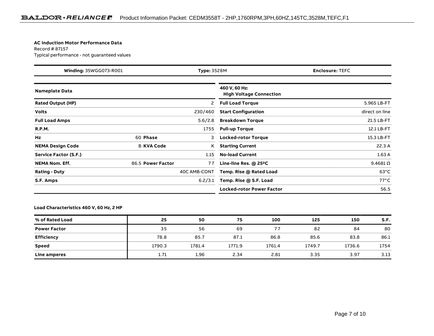#### **AC Induction Motor Performance Data**

Record # 87157Typical performance - not guaranteed values

| Winding: 35WGG073-R001<br><b>Type: 3528M</b> |                   |              | <b>Enclosure: TEFC</b>                          |  |                  |
|----------------------------------------------|-------------------|--------------|-------------------------------------------------|--|------------------|
| <b>Nameplate Data</b>                        |                   |              | 460 V, 60 Hz:<br><b>High Voltage Connection</b> |  |                  |
| <b>Rated Output (HP)</b>                     |                   | 2            | <b>Full Load Torque</b>                         |  | 5.965 LB-FT      |
| <b>Volts</b>                                 |                   | 230/460      | <b>Start Configuration</b>                      |  | direct on line   |
| <b>Full Load Amps</b>                        |                   | 5.6/2.8      | <b>Breakdown Torque</b>                         |  | 21.5 LB-FT       |
| <b>R.P.M.</b>                                |                   | 1755         | <b>Pull-up Torque</b>                           |  | 12.1 LB-FT       |
| Hz                                           | 60 Phase          | 3            | <b>Locked-rotor Torque</b>                      |  | 15.3 LB-FT       |
| <b>NEMA Design Code</b>                      | <b>B KVA Code</b> | Κ            | <b>Starting Current</b>                         |  | 22.3A            |
| Service Factor (S.F.)                        |                   | 1.15         | <b>No-load Current</b>                          |  | 1.63A            |
| <b>NEMA Nom. Eff.</b>                        | 86.5 Power Factor | 77           | Line-line Res. $@$ 25 <sup>o</sup> C            |  | $9.4681\,\Omega$ |
| <b>Rating - Duty</b>                         |                   | 40C AMB-CONT | Temp. Rise @ Rated Load                         |  | $63^{\circ}$ C   |
| S.F. Amps                                    |                   | 6.2/3.1      | Temp. Rise @ S.F. Load                          |  | $77^{\circ}$ C   |
|                                              |                   |              | <b>Locked-rotor Power Factor</b>                |  | 56.5             |

### **Load Characteristics 460 V, 60 Hz, 2 HP**

| % of Rated Load     | 25     | 50     | 75     | 100    | 125    | 150    | S.F. |
|---------------------|--------|--------|--------|--------|--------|--------|------|
| <b>Power Factor</b> | 35     | 56     | 69     | 77     | 82     | 84     | 80   |
| <b>Efficiency</b>   | 78.8   | 85.7   | 87.1   | 86.8   | 85.6   | 83.8   | 86.1 |
| Speed               | 1790.3 | 1781.4 | 1771.9 | 1761.4 | 1749.7 | 1736.6 | 1754 |
| Line amperes        | 1.71   | 1.96   | 2.34   | 2.81   | 3.35   | 3.97   | 3.13 |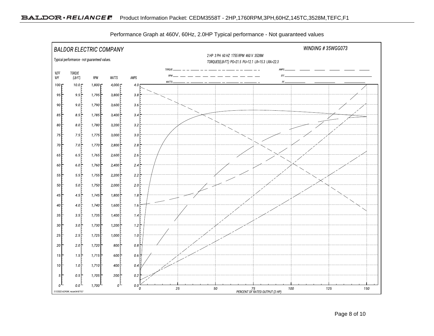

Performance Graph at 460V, 60Hz, 2.0HP Typical performance - Not guaranteed values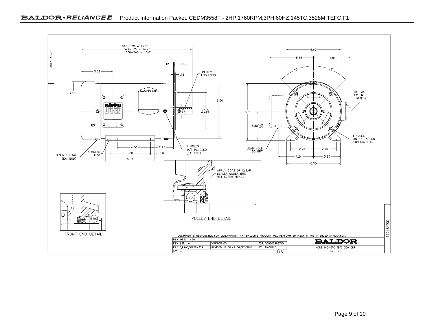